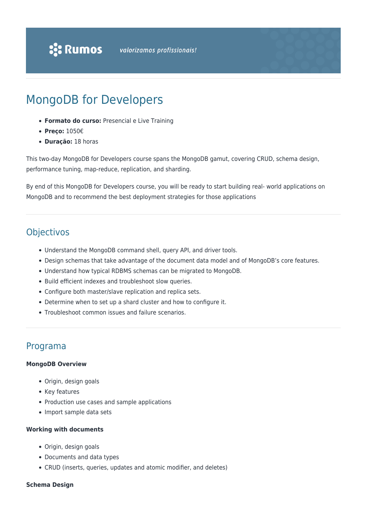# MongoDB for Developers

- **Formato do curso:** Presencial e Live Training
- **Preço:** 1050€
- **Duração:** 18 horas

This two-day MongoDB for Developers course spans the MongoDB gamut, covering CRUD, schema design, performance tuning, map-reduce, replication, and sharding.

By end of this MongoDB for Developers course, you will be ready to start building real- world applications on MongoDB and to recommend the best deployment strategies for those applications

## **Objectivos**

- Understand the MongoDB command shell, query API, and driver tools.
- Design schemas that take advantage of the document data model and of MongoDB's core features.
- Understand how typical RDBMS schemas can be migrated to MongoDB.
- Build efficient indexes and troubleshoot slow queries.
- Configure both master/slave replication and replica sets.
- Determine when to set up a shard cluster and how to configure it.
- Troubleshoot common issues and failure scenarios.

### Programa

#### **MongoDB Overview**

- Origin, design goals
- Key features
- Production use cases and sample applications
- Import sample data sets

#### **Working with documents**

- Origin, design goals
- Documents and data types
- CRUD (inserts, queries, updates and atomic modifier, and deletes)

#### **Schema Design**